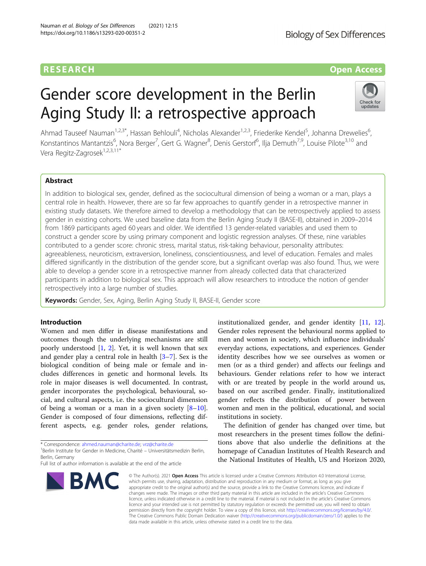# **RESEARCH CHE Open Access**

# Gender score development in the Berlin Aging Study II: a retrospective approach



Ahmad Tauseef Nauman<sup>1,2,3\*</sup>, Hassan Behlouli<sup>4</sup>, Nicholas Alexander<sup>1,2,3</sup>, Friederike Kendel<sup>5</sup>, Johanna Drewelies<sup>6</sup> , Konstantinos Mantantzis<sup>6</sup>, Nora Berger<sup>7</sup>, Gert G. Wagner<sup>8</sup>, Denis Gerstorf<sup>6</sup>, Ilja Demuth<sup>7,9</sup>, Louise Pilote<sup>3,10</sup> and Vera Regitz-Zagrosek<sup>1,2,3,11\*</sup>

# Abstract

In addition to biological sex, gender, defined as the sociocultural dimension of being a woman or a man, plays a central role in health. However, there are so far few approaches to quantify gender in a retrospective manner in existing study datasets. We therefore aimed to develop a methodology that can be retrospectively applied to assess gender in existing cohorts. We used baseline data from the Berlin Aging Study II (BASE-II), obtained in 2009–2014 from 1869 participants aged 60 years and older. We identified 13 gender-related variables and used them to construct a gender score by using primary component and logistic regression analyses. Of these, nine variables contributed to a gender score: chronic stress, marital status, risk-taking behaviour, personality attributes: agreeableness, neuroticism, extraversion, loneliness, conscientiousness, and level of education. Females and males differed significantly in the distribution of the gender score, but a significant overlap was also found. Thus, we were able to develop a gender score in a retrospective manner from already collected data that characterized participants in addition to biological sex. This approach will allow researchers to introduce the notion of gender retrospectively into a large number of studies.

Keywords: Gender, Sex, Aging, Berlin Aging Study II, BASE-II, Gender score

# Introduction

Women and men differ in disease manifestations and outcomes though the underlying mechanisms are still poorly understood [\[1](#page-8-0), [2](#page-8-0)]. Yet, it is well known that sex and gender play a central role in health  $[3-7]$  $[3-7]$  $[3-7]$  $[3-7]$ . Sex is the biological condition of being male or female and includes differences in genetic and hormonal levels. Its role in major diseases is well documented. In contrast, gender incorporates the psychological, behavioural, social, and cultural aspects, i.e. the sociocultural dimension of being a woman or a man in a given society  $[8-10]$  $[8-10]$  $[8-10]$  $[8-10]$  $[8-10]$ . Gender is composed of four dimensions, reflecting different aspects, e.g. gender roles, gender relations,

\* Correspondence: [ahmed.nauman@charite.de](mailto:ahmed.nauman@charite.de); [vrz@charite.de](mailto:vrz@charite.de) <sup>1</sup>

<sup>1</sup>Berlin Institute for Gender in Medicine, Charité – Universitätsmedizin Berlin, Berlin, Germany

Full list of author information is available at the end of the article



institutionalized gender, and gender identity [[11,](#page-8-0) [12](#page-8-0)]. Gender roles represent the behavioural norms applied to men and women in society, which influence individuals' everyday actions, expectations, and experiences. Gender identity describes how we see ourselves as women or men (or as a third gender) and affects our feelings and behaviours. Gender relations refer to how we interact with or are treated by people in the world around us, based on our ascribed gender. Finally, institutionalized gender reflects the distribution of power between women and men in the political, educational, and social institutions in society.

The definition of gender has changed over time, but most researchers in the present times follow the definitions above that also underlie the definitions at the homepage of Canadian Institutes of Health Research and the National Institutes of Health, US and Horizon 2020,

© The Author(s), 2021 **Open Access** This article is licensed under a Creative Commons Attribution 4.0 International License, which permits use, sharing, adaptation, distribution and reproduction in any medium or format, as long as you give appropriate credit to the original author(s) and the source, provide a link to the Creative Commons licence, and indicate if changes were made. The images or other third party material in this article are included in the article's Creative Commons licence, unless indicated otherwise in a credit line to the material. If material is not included in the article's Creative Commons licence and your intended use is not permitted by statutory regulation or exceeds the permitted use, you will need to obtain permission directly from the copyright holder. To view a copy of this licence, visit [http://creativecommons.org/licenses/by/4.0/.](http://creativecommons.org/licenses/by/4.0/) The Creative Commons Public Domain Dedication waiver [\(http://creativecommons.org/publicdomain/zero/1.0/](http://creativecommons.org/publicdomain/zero/1.0/)) applies to the data made available in this article, unless otherwise stated in a credit line to the data.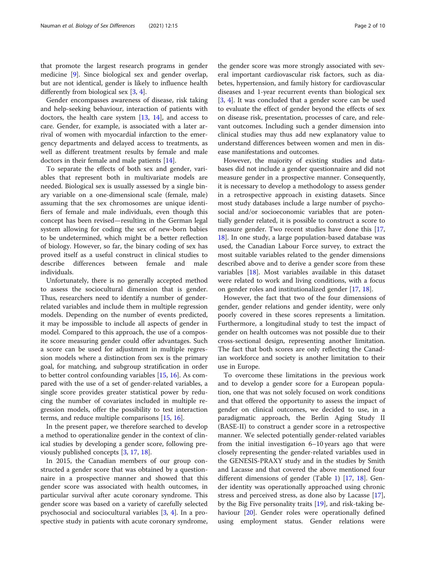that promote the largest research programs in gender medicine [[9\]](#page-8-0). Since biological sex and gender overlap, but are not identical, gender is likely to influence health differently from biological sex  $[3, 4]$  $[3, 4]$  $[3, 4]$ .

Gender encompasses awareness of disease, risk taking and help-seeking behaviour, interaction of patients with doctors, the health care system  $[13, 14]$  $[13, 14]$  $[13, 14]$  $[13, 14]$ , and access to care. Gender, for example, is associated with a later arrival of women with myocardial infarction to the emergency departments and delayed access to treatments, as well as different treatment results by female and male doctors in their female and male patients [\[14](#page-8-0)].

To separate the effects of both sex and gender, variables that represent both in multivariate models are needed. Biological sex is usually assessed by a single binary variable on a one-dimensional scale (female, male) assuming that the sex chromosomes are unique identifiers of female and male individuals, even though this concept has been revised—resulting in the German legal system allowing for coding the sex of new-born babies to be undetermined, which might be a better reflection of biology. However, so far, the binary coding of sex has proved itself as a useful construct in clinical studies to describe differences between female and male individuals.

Unfortunately, there is no generally accepted method to assess the sociocultural dimension that is gender. Thus, researchers need to identify a number of genderrelated variables and include them in multiple regression models. Depending on the number of events predicted, it may be impossible to include all aspects of gender in model. Compared to this approach, the use of a composite score measuring gender could offer advantages. Such a score can be used for adjustment in multiple regression models where a distinction from sex is the primary goal, for matching, and subgroup stratification in order to better control confounding variables [[15,](#page-8-0) [16](#page-8-0)]. As compared with the use of a set of gender-related variables, a single score provides greater statistical power by reducing the number of covariates included in multiple regression models, offer the possibility to test interaction terms, and reduce multiple comparisons [[15,](#page-8-0) [16\]](#page-8-0).

In the present paper, we therefore searched to develop a method to operationalize gender in the context of clinical studies by developing a gender score, following previously published concepts [\[3](#page-8-0), [17](#page-8-0), [18\]](#page-8-0).

In 2015, the Canadian members of our group constructed a gender score that was obtained by a questionnaire in a prospective manner and showed that this gender score was associated with health outcomes, in particular survival after acute coronary syndrome. This gender score was based on a variety of carefully selected psychosocial and sociocultural variables [\[3](#page-8-0), [4\]](#page-8-0). In a prospective study in patients with acute coronary syndrome,

the gender score was more strongly associated with several important cardiovascular risk factors, such as diabetes, hypertension, and family history for cardiovascular diseases and 1-year recurrent events than biological sex [[3,](#page-8-0) [4](#page-8-0)]. It was concluded that a gender score can be used to evaluate the effect of gender beyond the effects of sex on disease risk, presentation, processes of care, and relevant outcomes. Including such a gender dimension into clinical studies may thus add new explanatory value to understand differences between women and men in disease manifestations and outcomes.

However, the majority of existing studies and databases did not include a gender questionnaire and did not measure gender in a prospective manner. Consequently, it is necessary to develop a methodology to assess gender in a retrospective approach in existing datasets. Since most study databases include a large number of psychosocial and/or socioeconomic variables that are potentially gender related, it is possible to construct a score to measure gender. Two recent studies have done this [[17](#page-8-0), [18\]](#page-8-0). In one study, a large population-based database was used, the Canadian Labour Force survey, to extract the most suitable variables related to the gender dimensions described above and to derive a gender score from these variables [[18](#page-8-0)]. Most variables available in this dataset were related to work and living conditions, with a focus on gender roles and institutionalized gender [[17,](#page-8-0) [18\]](#page-8-0).

However, the fact that two of the four dimensions of gender, gender relations and gender identity, were only poorly covered in these scores represents a limitation. Furthermore, a longitudinal study to test the impact of gender on health outcomes was not possible due to their cross-sectional design, representing another limitation. The fact that both scores are only reflecting the Canadian workforce and society is another limitation to their use in Europe.

To overcome these limitations in the previous work and to develop a gender score for a European population, one that was not solely focused on work conditions and that offered the opportunity to assess the impact of gender on clinical outcomes, we decided to use, in a paradigmatic approach, the Berlin Aging Study II (BASE-II) to construct a gender score in a retrospective manner. We selected potentially gender-related variables from the initial investigation 6–10 years ago that were closely representing the gender-related variables used in the GENESIS-PRAXY study and in the studies by Smith and Lacasse and that covered the above mentioned four different dimensions of gender (Table [1\)](#page-2-0) [[17,](#page-8-0) [18\]](#page-8-0). Gender identity was operationally approached using chronic stress and perceived stress, as done also by Lacasse [\[17](#page-8-0)], by the Big Five personality traits [[19\]](#page-8-0), and risk-taking behaviour [\[20\]](#page-8-0). Gender roles were operationally defined using employment status. Gender relations were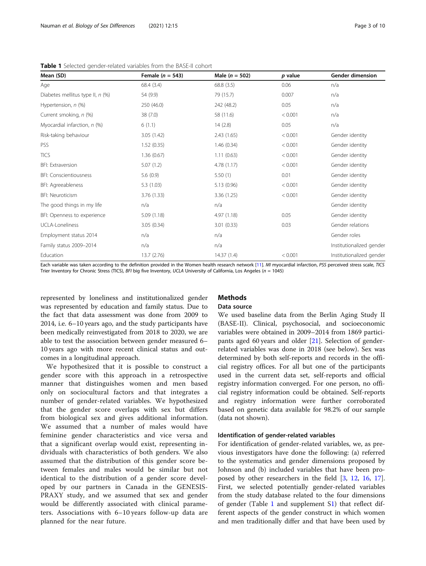<span id="page-2-0"></span>Table 1 Selected gender-related variables from the BASE-II cohort

| Mean (SD)                        | Female ( $n = 543$ ) | Male ( $n = 502$ ) | p value | <b>Gender dimension</b>  |
|----------------------------------|----------------------|--------------------|---------|--------------------------|
| Age                              | 68.4 (3.4)           | 68.8(3.5)          | 0.06    | n/a                      |
| Diabetes mellitus type II, n (%) | 54 (9.9)             | 79 (15.7)          | 0.007   | n/a                      |
| Hypertension, n (%)              | 250 (46.0)           | 242 (48.2)         | 0.05    | n/a                      |
| Current smoking, n (%)           | 38 (7.0)             | 58 (11.6)          | < 0.001 | n/a                      |
| Myocardial infarction, n (%)     | 6(1.1)               | 14(2.8)            | 0.05    | n/a                      |
| Risk-taking behaviour            | 3.05(1.42)           | 2.43(1.65)         | < 0.001 | Gender identity          |
| PSS                              | 1.52(0.35)           | 1.46(0.34)         | < 0.001 | Gender identity          |
| <b>TICS</b>                      | 1.36(0.67)           | 1.11(0.63)         | < 0.001 | Gender identity          |
| <b>BFI: Extraversion</b>         | 5.07(1.2)            | 4.78(1.17)         | < 0.001 | Gender identity          |
| <b>BFI: Conscientiousness</b>    | 5.6(0.9)             | 5.50(1)            | 0.01    | Gender identity          |
| BFI: Agreeableness               | 5.3(1.03)            | 5.13(0.96)         | < 0.001 | Gender identity          |
| <b>BFI: Neuroticism</b>          | 3.76(1.33)           | 3.36(1.25)         | < 0.001 | Gender identity          |
| The good things in my life       | n/a                  | n/a                |         | Gender identity          |
| BFI: Openness to experience      | 5.09(1.18)           | 4.97(1.18)         | 0.05    | Gender identity          |
| <b>UCLA-Loneliness</b>           | 3.05(0.34)           | 3.01(0.33)         | 0.03    | Gender relations         |
| Employment status 2014           | n/a                  | n/a                |         | Gender roles             |
| Family status 2009-2014          | n/a                  | n/a                |         | Institutionalized gender |
| Education                        | 13.7(2.76)           | 14.37(1.4)         | < 0.001 | Institutionalized gender |

Each variable was taken according to the definition provided in the Women health research network [\[11](#page-8-0)]. MI myocardial infarction, PSS perceived stress scale, TICS Trier Inventory for Chronic Stress (TICS), BFI big five Inventory, UCLA University of California, Los Angeles ( $n = 1045$ )

represented by loneliness and institutionalized gender was represented by education and family status. Due to the fact that data assessment was done from 2009 to 2014, i.e. 6–10 years ago, and the study participants have been medically reinvestigated from 2018 to 2020, we are able to test the association between gender measured 6– 10 years ago with more recent clinical status and outcomes in a longitudinal approach.

We hypothesized that it is possible to construct a gender score with this approach in a retrospective manner that distinguishes women and men based only on sociocultural factors and that integrates a number of gender-related variables. We hypothesized that the gender score overlaps with sex but differs from biological sex and gives additional information. We assumed that a number of males would have feminine gender characteristics and vice versa and that a significant overlap would exist, representing individuals with characteristics of both genders. We also assumed that the distribution of this gender score between females and males would be similar but not identical to the distribution of a gender score developed by our partners in Canada in the GENESIS-PRAXY study, and we assumed that sex and gender would be differently associated with clinical parameters. Associations with 6–10 years follow-up data are planned for the near future.

# **Methods**

# Data source

We used baseline data from the Berlin Aging Study II (BASE-II). Clinical, psychosocial, and socioeconomic variables were obtained in 2009–2014 from 1869 participants aged 60 years and older [[21\]](#page-8-0). Selection of genderrelated variables was done in 2018 (see below). Sex was determined by both self-reports and records in the official registry offices. For all but one of the participants used in the current data set, self-reports and official registry information converged. For one person, no official registry information could be obtained. Self-reports and registry information were further corroborated based on genetic data available for 98.2% of our sample (data not shown).

### Identification of gender-related variables

For identification of gender-related variables, we, as previous investigators have done the following: (a) referred to the systematics and gender dimensions proposed by Johnson and (b) included variables that have been pro-posed by other researchers in the field [[3,](#page-8-0) [12](#page-8-0), [16,](#page-8-0) [17](#page-8-0)]. First, we selected potentially gender-related variables from the study database related to the four dimensions of gender (Table 1 and supplement S[1\)](#page-7-0) that reflect different aspects of the gender construct in which women and men traditionally differ and that have been used by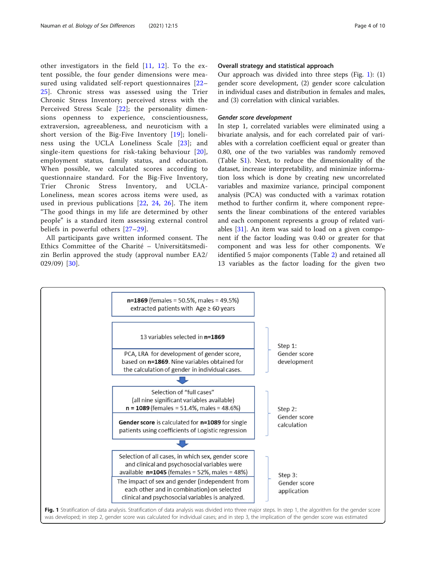<span id="page-3-0"></span>other investigators in the field [[11,](#page-8-0) [12\]](#page-8-0). To the extent possible, the four gender dimensions were measured using validated self-report questionnaires [\[22](#page-8-0)– [25\]](#page-9-0). Chronic stress was assessed using the Trier Chronic Stress Inventory; perceived stress with the Perceived Stress Scale [[22](#page-8-0)]; the personality dimensions openness to experience, conscientiousness, extraversion, agreeableness, and neuroticism with a short version of the Big-Five Inventory [[19](#page-8-0)]; loneliness using the UCLA Loneliness Scale [[23](#page-9-0)]; and single-item questions for risk-taking behaviour [[20](#page-8-0)], employment status, family status, and education. When possible, we calculated scores according to questionnaire standard. For the Big-Five Inventory, Trier Chronic Stress Inventory, and UCLA-Loneliness, mean scores across items were used, as used in previous publications [[22](#page-8-0), [24](#page-9-0), [26\]](#page-9-0). The item "The good things in my life are determined by other people" is a standard item assessing external control beliefs in powerful others [\[27](#page-9-0)–[29\]](#page-9-0).

All participants gave written informed consent. The Ethics Committee of the Charité – Universitätsmedizin Berlin approved the study (approval number EA2/ 029/09) [[30\]](#page-9-0).

#### Overall strategy and statistical approach

Our approach was divided into three steps (Fig. 1): (1) gender score development, (2) gender score calculation in individual cases and distribution in females and males, and (3) correlation with clinical variables.

# Gender score development

In step 1, correlated variables were eliminated using a bivariate analysis, and for each correlated pair of variables with a correlation coefficient equal or greater than 0.80, one of the two variables was randomly removed (Table [S1\)](#page-7-0). Next, to reduce the dimensionality of the dataset, increase interpretability, and minimize information loss which is done by creating new uncorrelated variables and maximize variance, principal component analysis (PCA) was conducted with a varimax rotation method to further confirm it, where component represents the linear combinations of the entered variables and each component represents a group of related variables  $[31]$  $[31]$ . An item was said to load on a given component if the factor loading was 0.40 or greater for that component and was less for other components. We identified 5 major components (Table [2](#page-4-0)) and retained all 13 variables as the factor loading for the given two

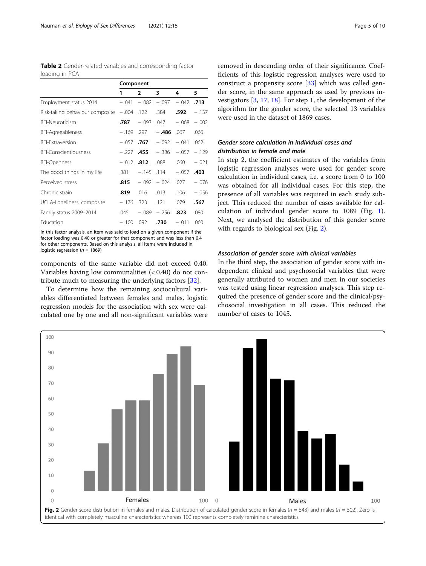<span id="page-4-0"></span>

| Table 2 Gender-related variables and corresponding factor |  |  |
|-----------------------------------------------------------|--|--|
| loading in PCA                                            |  |  |

|                                 | Component    |                |          |              |         |
|---------------------------------|--------------|----------------|----------|--------------|---------|
|                                 | 1            | $\overline{2}$ | 3        | 4            | 5       |
| Employment status 2014          | $-.041$      | $-.082$        | $-.097$  | $-.042$ .713 |         |
| Risk-taking behaviour composite | $-.004$ .122 |                | .384     | .592         | $-.137$ |
| <b>BFI-Neuroticism</b>          | .787         | $-.093$        | .047     | $-.068$      | $-.002$ |
| <b>BFI-Agreeableness</b>        | $-.169$ .297 |                | $-.486$  | .067         | .066    |
| <b>BFI-Extraversion</b>         |              | $-.057$ .767   | $-.092$  | $-.041$      | .062    |
| <b>BFI-Conscientiousness</b>    | $-.227$      | .455           | $-.386$  | $-.057$      | $-.129$ |
| <b>BFI-Openness</b>             | $-.012$      | .812           | .088     | .060         | $-.021$ |
| The good things in my life      | .381         | $-.145$        | $.114 -$ | $-.057$      | .403    |
| Perceived stress                | .815         | $-.092$        | $-.024$  | .027         | $-.076$ |
| Chronic strain                  | .819         | .016           | .013     | .106         | $-.056$ |
| UCLA-Loneliness: composite      |              | $-.176$ .323   | .121     | .079         | .567    |
| Family status 2009-2014         | .045         | $-.089$        | $-.256$  | .823         | .080    |
| Education                       | $-.100$      | .092           | .730     | $-.011$      | .060    |

In this factor analysis, an item was said to load on a given component if the factor loading was 0.40 or greater for that component and was less than 0.4 for other components. Based on this analysis, all items were included in logistic regression ( $n = 1869$ )

components of the same variable did not exceed 0.40. Variables having low communalities  $( $0.40$ )$  do not contribute much to measuring the underlying factors [[32\]](#page-9-0).

To determine how the remaining sociocultural variables differentiated between females and males, logistic regression models for the association with sex were calculated one by one and all non-significant variables were removed in descending order of their significance. Coefficients of this logistic regression analyses were used to construct a propensity score [[33\]](#page-9-0) which was called gender score, in the same approach as used by previous investigators [\[3,](#page-8-0) [17,](#page-8-0) [18\]](#page-8-0). For step 1, the development of the algorithm for the gender score, the selected 13 variables were used in the dataset of 1869 cases.

# Gender score calculation in individual cases and distribution in female and male

In step 2, the coefficient estimates of the variables from logistic regression analyses were used for gender score calculation in individual cases, i.e. a score from 0 to 100 was obtained for all individual cases. For this step, the presence of all variables was required in each study subject. This reduced the number of cases available for calculation of individual gender score to 1089 (Fig. [1](#page-3-0)). Next, we analysed the distribution of this gender score with regards to biological sex (Fig. 2).

# Association of gender score with clinical variables

In the third step, the association of gender score with independent clinical and psychosocial variables that were generally attributed to women and men in our societies was tested using linear regression analyses. This step required the presence of gender score and the clinical/psychosocial investigation in all cases. This reduced the number of cases to 1045.

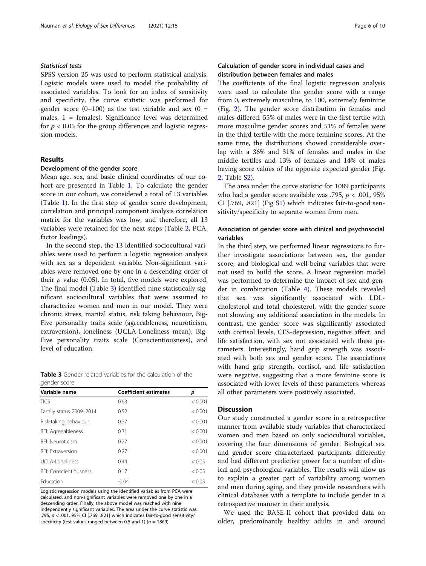# Statistical tests

SPSS version 25 was used to perform statistical analysis. Logistic models were used to model the probability of associated variables. To look for an index of sensitivity and specificity, the curve statistic was performed for gender score  $(0-100)$  as the test variable and sex  $(0 =$ males, 1 = females). Significance level was determined for  $p < 0.05$  for the group differences and logistic regression models.

# Results

#### Development of the gender score

Mean age, sex, and basic clinical coordinates of our cohort are presented in Table [1](#page-2-0). To calculate the gender score in our cohort, we considered a total of 13 variables (Table [1](#page-2-0)). In the first step of gender score development, correlation and principal component analysis correlation matrix for the variables was low, and therefore, all 13 variables were retained for the next steps (Table [2,](#page-4-0) PCA, factor loadings).

In the second step, the 13 identified sociocultural variables were used to perform a logistic regression analysis with sex as a dependent variable. Non-significant variables were removed one by one in a descending order of their  $p$  value (0.05). In total, five models were explored. The final model (Table 3) identified nine statistically significant sociocultural variables that were assumed to characterize women and men in our model. They were chronic stress, marital status, risk taking behaviour, Big-Five personality traits scale (agreeableness, neuroticism, extraversion), loneliness (UCLA-Loneliness mean), Big-Five personality traits scale (Conscientiousness), and level of education.

Table 3 Gender-related variables for the calculation of the gender score

| Variable name                 | <b>Coefficient estimates</b> | р       |
|-------------------------------|------------------------------|---------|
| <b>TICS</b>                   | 0.63                         | < 0.001 |
| Family status 2009-2014       | 0.52                         | < 0.001 |
| Risk-taking behaviour         | 0.37                         | < 0.001 |
| BFI: Agreeableness            | 0.31                         | < 0.001 |
| <b>BFI: Neuroticism</b>       | 0.27                         | < 0.001 |
| <b>BEI: Extraversion</b>      | 0.27                         | < 0.001 |
| UCLA-Loneliness               | 0.44                         | < 0.05  |
| <b>BFI: Conscientiousness</b> | 0.17                         | < 0.05  |
| Education                     | $-0.04$                      | < 0.05  |

Logistic regression models using the identified variables from PCA were calculated, and non-significant variables were removed one by one in a descending order. Finally, the above model was reached with nine independently significant variables. The area under the curve statistic was .795,  $p < .001$ , 95% CI [.769, .821] which indicates fair-to-good sensitivity/ specificity (test values ranged between 0.5 and 1) ( $n = 1869$ )

# Calculation of gender score in individual cases and distribution between females and males

The coefficients of the final logistic regression analysis were used to calculate the gender score with a range from 0, extremely masculine, to 100, extremely feminine (Fig. [2](#page-4-0)). The gender score distribution in females and males differed: 55% of males were in the first tertile with more masculine gender scores and 51% of females were in the third tertile with the more feminine scores. At the same time, the distributions showed considerable overlap with a 36% and 31% of females and males in the middle tertiles and 13% of females and 14% of males having score values of the opposite expected gender (Fig. [2,](#page-4-0) Table S[2\)](#page-7-0).

The area under the curve statistic for 1089 participants who had a gender score available was .795,  $p < .001$ , 95% CI [.769, .821] (Fig S[1\)](#page-7-0) which indicates fair-to-good sensitivity/specificity to separate women from men.

# Association of gender score with clinical and psychosocial variables

In the third step, we performed linear regressions to further investigate associations between sex, the gender score, and biological and well-being variables that were not used to build the score. A linear regression model was performed to determine the impact of sex and gender in combination (Table [4\)](#page-6-0). These models revealed that sex was significantly associated with LDLcholesterol and total cholesterol, with the gender score not showing any additional association in the models. In contrast, the gender score was significantly associated with cortisol levels, CES-depression, negative affect, and life satisfaction, with sex not associated with these parameters. Interestingly, hand grip strength was associated with both sex and gender score. The associations with hand grip strength, cortisol, and life satisfaction were negative, suggesting that a more feminine score is associated with lower levels of these parameters, whereas all other parameters were positively associated.

### **Discussion**

Our study constructed a gender score in a retrospective manner from available study variables that characterized women and men based on only sociocultural variables, covering the four dimensions of gender. Biological sex and gender score characterized participants differently and had different predictive power for a number of clinical and psychological variables. The results will allow us to explain a greater part of variability among women and men during aging, and they provide researchers with clinical databases with a template to include gender in a retrospective manner in their analysis.

We used the BASE-II cohort that provided data on older, predominantly healthy adults in and around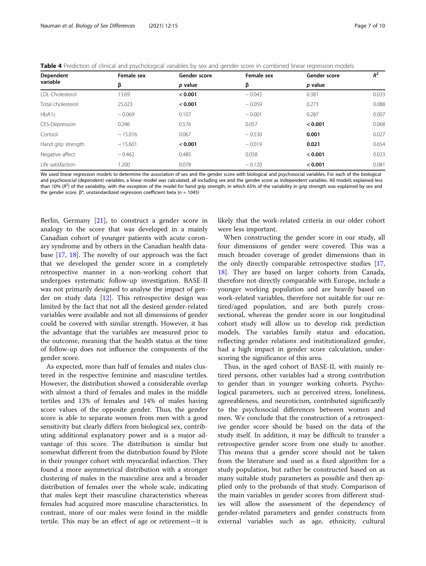<span id="page-6-0"></span>

|  |  |  |  | <b>Table 4</b> Prediction of clinical and psychological variables by sex and gender score in combined linear regression models |  |
|--|--|--|--|--------------------------------------------------------------------------------------------------------------------------------|--|
|  |  |  |  |                                                                                                                                |  |

| Dependent              | Female sex | Gender score | Female sex | Gender score | $R^2$ |
|------------------------|------------|--------------|------------|--------------|-------|
| variable               | β          | p value      | β          | p value      |       |
| <b>IDI-Cholesterol</b> | 13.69      | < 0.001      | $-0.043$   | 0.381        | 0.033 |
| Total cholesterol      | 25.023     | < 0.001      | $-0.059$   | 0.273        | 0.088 |
| HbA1c                  | $-0.069$   | 0.107        | $-0.001$   | 0.287        | 0.007 |
| <b>CES-Depression</b>  | 0.246      | 0.576        | 0.057      | < 0.001      | 0.068 |
| Cortisol               | $-15.016$  | 0.067        | $-0.530$   | 0.001        | 0.027 |
| Hand grip strength     | $-15,601$  | < 0.001      | $-0.019$   | 0.021        | 0.654 |
| Negative affect        | $-0.462$   | 0.485        | 0.058      | < 0.001      | 0.023 |
| Life satisfaction      | .200       | 0.078        | $-0.120$   | < 0.001      | 0.081 |

We used linear regression models to determine the association of sex and the gender score with biological and psychosocial variables. For each of the biological and psychosocial (dependent) variables, a linear model was calculated, all including sex and the gender score as independent variables. All models explained less than 10% ( $R^2$ ) of the variability, with the exception of the model for hand grip strength, in which 65% of the variability in grip strength was explained by sex and<br>the gender score,  $R^*$  unstandardized regression coef the gender score.  $β^*$ , unstandardized regression coefficient beta (*n* = 1045)

Berlin, Germany [[21\]](#page-8-0), to construct a gender score in analogy to the score that was developed in a mainly Canadian cohort of younger patients with acute coronary syndrome and by others in the Canadian health database [\[17](#page-8-0), [18\]](#page-8-0). The novelty of our approach was the fact that we developed the gender score in a completely retrospective manner in a non-working cohort that undergoes systematic follow-up investigation. BASE-II was not primarily designed to analyse the impact of gender on study data [\[12](#page-8-0)]. This retrospective design was limited by the fact that not all the desired gender-related variables were available and not all dimensions of gender could be covered with similar strength. However, it has the advantage that the variables are measured prior to the outcome, meaning that the health status at the time of follow-up does not influence the components of the gender score.

As expected, more than half of females and males clustered in the respective feminine and masculine tertiles. However, the distribution showed a considerable overlap with almost a third of females and males in the middle tertiles and 13% of females and 14% of males having score values of the opposite gender. Thus, the gender score is able to separate women from men with a good sensitivity but clearly differs from biological sex, contributing additional explanatory power and is a major advantage of this score. The distribution is similar but somewhat different from the distribution found by Pilote in their younger cohort with myocardial infarction. They found a more asymmetrical distribution with a stronger clustering of males in the masculine area and a broader distribution of females over the whole scale, indicating that males kept their masculine characteristics whereas females had acquired more masculine characteristics. In contrast, more of our males were found in the middle tertile. This may be an effect of age or retirement—it is likely that the work-related criteria in our older cohort were less important.

When constructing the gender score in our study, all four dimensions of gender were covered. This was a much broader coverage of gender dimensions than in the only directly comparable retrospective studies [[17](#page-8-0), [18\]](#page-8-0). They are based on larger cohorts from Canada, therefore not directly comparable with Europe, include a younger working population and are heavily based on work-related variables, therefore not suitable for our retired/aged population, and are both purely crosssectional, whereas the gender score in our longitudinal cohort study will allow us to develop risk prediction models. The variables family status and education, reflecting gender relations and institutionalized gender, had a high impact in gender score calculation, underscoring the significance of this area.

Thus, in the aged cohort of BASE-II, with mainly retired persons, other variables had a strong contribution to gender than in younger working cohorts. Psychological parameters, such as perceived stress, loneliness, agreeableness, and neuroticism, contributed significantly to the psychosocial differences between women and men. We conclude that the construction of a retrospective gender score should be based on the data of the study itself. In addition, it may be difficult to transfer a retrospective gender score from one study to another. This means that a gender score should not be taken from the literature and used as a fixed algorithm for a study population, but rather be constructed based on as many suitable study parameters as possible and then applied only to the probands of that study. Comparison of the main variables in gender scores from different studies will allow the assessment of the dependency of gender-related parameters and gender constructs from external variables such as age, ethnicity, cultural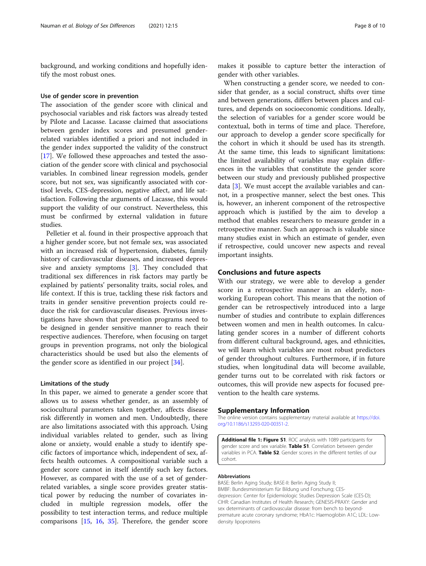<span id="page-7-0"></span>background, and working conditions and hopefully identify the most robust ones.

#### Use of gender score in prevention

The association of the gender score with clinical and psychosocial variables and risk factors was already tested by Pilote and Lacasse. Lacasse claimed that associations between gender index scores and presumed genderrelated variables identified a priori and not included in the gender index supported the validity of the construct [[17\]](#page-8-0). We followed these approaches and tested the association of the gender score with clinical and psychosocial variables. In combined linear regression models, gender score, but not sex, was significantly associated with cortisol levels, CES-depression, negative affect, and life satisfaction. Following the arguments of Lacasse, this would support the validity of our construct. Nevertheless, this must be confirmed by external validation in future studies.

Pelletier et al. found in their prospective approach that a higher gender score, but not female sex, was associated with an increased risk of hypertension, diabetes, family history of cardiovascular diseases, and increased depressive and anxiety symptoms [\[3](#page-8-0)]. They concluded that traditional sex differences in risk factors may partly be explained by patients' personality traits, social roles, and life context. If this is true, tackling these risk factors and traits in gender sensitive prevention projects could reduce the risk for cardiovascular diseases. Previous investigations have shown that prevention programs need to be designed in gender sensitive manner to reach their respective audiences. Therefore, when focusing on target groups in prevention programs, not only the biological characteristics should be used but also the elements of the gender score as identified in our project [\[34](#page-9-0)].

#### Limitations of the study

In this paper, we aimed to generate a gender score that allows us to assess whether gender, as an assembly of sociocultural parameters taken together, affects disease risk differently in women and men. Undoubtedly, there are also limitations associated with this approach. Using individual variables related to gender, such as living alone or anxiety, would enable a study to identify specific factors of importance which, independent of sex, affects health outcomes. A compositional variable such a gender score cannot in itself identify such key factors. However, as compared with the use of a set of genderrelated variables, a single score provides greater statistical power by reducing the number of covariates included in multiple regression models, offer the possibility to test interaction terms, and reduce multiple comparisons [[15](#page-8-0), [16](#page-8-0), [35](#page-9-0)]. Therefore, the gender score makes it possible to capture better the interaction of gender with other variables.

When constructing a gender score, we needed to consider that gender, as a social construct, shifts over time and between generations, differs between places and cultures, and depends on socioeconomic conditions. Ideally, the selection of variables for a gender score would be contextual, both in terms of time and place. Therefore, our approach to develop a gender score specifically for the cohort in which it should be used has its strength. At the same time, this leads to significant limitations: the limited availability of variables may explain differences in the variables that constitute the gender score between our study and previously published prospective data [\[3\]](#page-8-0). We must accept the available variables and cannot, in a prospective manner, select the best ones. This is, however, an inherent component of the retrospective approach which is justified by the aim to develop a method that enables researchers to measure gender in a retrospective manner. Such an approach is valuable since many studies exist in which an estimate of gender, even if retrospective, could uncover new aspects and reveal important insights.

# Conclusions and future aspects

With our strategy, we were able to develop a gender score in a retrospective manner in an elderly, nonworking European cohort. This means that the notion of gender can be retrospectively introduced into a large number of studies and contribute to explain differences between women and men in health outcomes. In calculating gender scores in a number of different cohorts from different cultural background, ages, and ethnicities, we will learn which variables are most robust predictors of gender throughout cultures. Furthermore, if in future studies, when longitudinal data will become available, gender turns out to be correlated with risk factors or outcomes, this will provide new aspects for focused prevention to the health care systems.

#### Supplementary Information

The online version contains supplementary material available at [https://doi.](https://doi.org/10.1186/s13293-020-00351-2) [org/10.1186/s13293-020-00351-2.](https://doi.org/10.1186/s13293-020-00351-2)

Additional file 1: Figure S1. ROC analysis with 1089 participants for gender score and sex variable. Table S1. Correlation between gender variables in PCA. Table S2. Gender scores in the different tertiles of our cohort.

#### Abbreviations

BASE: Berlin Aging Study; BASE-II: Berlin Aging Study II; BMBF: Bundesministerium für Bildung und Forschung; CESdepression: Center for Epidemiologic Studies Depression Scale (CES-D); CIHR: Canadian Institutes of Health Research; GENESIS-PRAXY: Gender and sex determinants of cardiovascular disease: from bench to beyondpremature acute coronary syndrome; HbA1c: Haemoglobin A1C; LDL: Lowdensity lipoproteins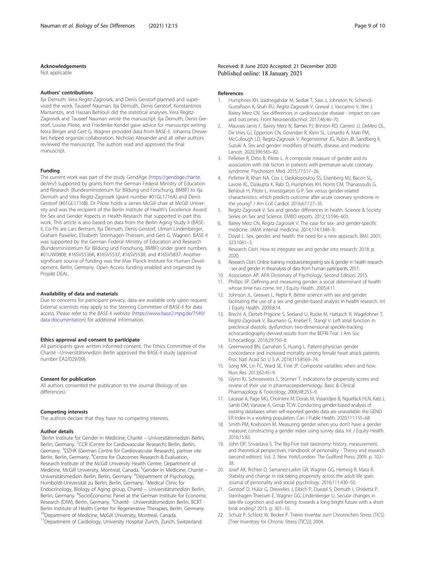#### <span id="page-8-0"></span>Acknowledgements

Not applicable

#### Authors' contributions

Ilja Demuth, Vera Regitz-Zagrosek, and Denis Gerstorf planned and supervised the work. Tauseef Nauman, Ilja Demuth, Denis Gerstorf, Konstantinos Mantantzis, and Hassan Behlouli did the statistical analyses. Vera Regitz-Zagrosek and Tauseef Nauman wrote the manuscript. Ilja Demuth, Denis Gerstorf, Louise Pilote, and Friederike Kendel gave advice for manuscript writing. Nora Berger and Gert G. Wagner provided data from BASE-II. Johanna Drewelies helped organize collaboration. Nicholas Alexander and all other authors reviewed the manuscript. The authors read and approved the final manuscript.

#### Funding

The current work was part of the study GendAge ([https://gendage.charite.](https://gendage.charite.de/en/) [de/en/](https://gendage.charite.de/en/)) supported by grants from the German Federal Ministry of Education and Research (Bundesministerium für Bildung und Forschung, BMBF) to Ilja Demuth and Vera Regitz-Zagrosek (grant number #01GL1716A) and Denis Gerstorf (#01GL1716B). Dr Pilote holds a James McGill chair at McGill University and was the recipient of the Berlin Institute of Health's Excellence Award for Sex and Gender Aspects in Health Research that supported in part this work. This article is also based on data from the Berlin Aging Study II (BASE-II, Co-PIs are Lars Bertram, Ilja Demuth, Denis Gerstorf, Ulman Lindenberger, Graham Pawelec, Elisabeth Steinhagen-Thiessen, and Gert G. Wagner). BASE-II was supported by the German Federal Ministry of Education and Research (Bundesministerium für Bildung und Forschung, BMBF) under grant numbers #01UW0808; #16SV5536K, #16SV5537, #16SV5538, and #16SV5837. Another significant source of funding was the Max Planck Institute for Human Development, Berlin, Germany. Open Access funding enabled and organized by Projekt DEAL.

#### Availability of data and materials

Due to concerns for participant privacy, data are available only upon request. External scientists may apply to the Steering Committee of BASE-II for data access. Please refer to the BASE-II website [\(https://www.base2.mpg.de/7549/](https://www.base2.mpg.de/7549/data-documentation) [data-documentation](https://www.base2.mpg.de/7549/data-documentation)) for additional information.

#### Ethics approval and consent to participate

All participants gave written informed consent. The Ethics Committee of the Charité –Universitätsmedizin Berlin approved the BASE-II study (approval number EA2/029/09).

#### Consent for publication

All authors consented the publication to the Journal (Biology of sex differences).

#### Competing interests

The authors declare that they have no competing interests.

#### Author details

<sup>1</sup>Berlin Institute for Gender in Medicine, Charité - Universitätsmedizin Berlin, Berlin, Germany. <sup>2</sup>CCR (Centre for Cardiovascular Research) Berlin, Berlin, Germany. <sup>3</sup>DZHK (German Centre for Cardiovascular Research), partner site Berlin, Berlin, Germany. <sup>4</sup>Centre for Outcomes Research & Evaluation, Research Institute of the McGill University Health Centre, Department of Medicine, McGill University, Montreal, Canada. <sup>5</sup>Gender in Medicine, Charité -Universitätsmedizin Berlin, Berlin, Germany. <sup>6</sup>Department of Psychology, Humboldt-Universität zu Berlin, Berlin, Germany. <sup>7</sup>Medical Clinic for Endocrinology, Biology of Aging group, Charité – Universitätsmedizin Berlin, Berlin, Germany. <sup>8</sup>SocioEconomic Panel at the German Institute for Economic Research (DIW), Berlin, Germany. <sup>9</sup>Charité - Universitätsmedizin Berlin, BCRT -Berlin Institute of Health Center for Regenerative Therapies, Berlin, Germany. <sup>10</sup>Department of Medicine, McGill University, Montreal, Canada.

<sup>11</sup>Department of Cardiology, University Hospital Zurich, Zurich, Switzerland.

Received: 8 June 2020 Accepted: 21 December 2020 Published online: 18 January 2021

#### References

- 1. Humphries KH, Izadnegahdar M, Sedlak T, Saw J, Johnston N, Schenck-Gustafsson K, Shah RU, Regitz-Zagrosek V, Grewal J, Vaccarino V, Wei J, Bairey Merz CN. Sex differences in cardiovascular disease - impact on care and outcomes. Front Neuroendocrinol. 2017;46:46–70.
- 2. Mauvais-Jarvis F, Bairey Merz N, Barnes PJ, Brinton RD, Carrero JJ, DeMeo DL, De Vries GJ, Epperson CN, Govindan R, Klein SL, Lonardo A, Maki PM, McCullough LD, Regitz-Zagrosek V, Regensteiner JG, Rubin JB, Sandberg K, Suzuki A. Sex and gender: modifiers of health, disease, and medicine. Lancet. 2020;396:565–82.
- 3. Pelletier R, Ditto B, Pilote L. A composite measure of gender and its association with risk factors in patients with premature acute coronary syndrome. Psychosom Med. 2015;77:517–26.
- 4. Pelletier R, Khan NA, Cox J, Daskalopoulou SS, Eisenberg MJ, Bacon SL, Lavoie KL, Daskupta K, Rabi D, Humphries KH, Norris CM, Thanassoulis G, Behlouli H, Pilote L, Investigators G-P. Sex versus gender-related characteristics: which predicts outcome after acute coronary syndrome in the young? J Am Coll Cardiol. 2016;67:127–35.
- 5. Regitz-Zagrosek V. Sex and gender differences in health. Science & Society Series on Sex and Science. EMBO reports. 2012;13:596–603.
- 6. Bairey Merz CN, Regitz-Zagrosek V. The case for sex- and gender-specific medicine. JAMA internal medicine. 2014;174:1348–9.
- 7. Doyal L. Sex, gender, and health: the need for a new approach. BMJ. 2001; 323:1061–3.
- 8. Research CIoH. How to integrate sex and gender into research; 2018. p. 2020.
- 9. Research CIoH. Online training modules:integrating sex & gender in health research - sex and gender in theanalysis of data from human participants. 2017.
- 10. Association AP. APA Dictionary of Psychology, Second Edition; 2015.
- 11. Phillips SP. Defining and measuring gender: a social determinant of health whose time has come. Int J Equity Health. 2005;4:11.
- 12. Johnson JL, Greaves L, Repta R. Better science with sex and gender: facilitating the use of a sex and gender-based analysis in health research. Int J Equity Health. 2009;8:14.
- 13. Brecht A, Oertelt-Prigione S, Seeland U, Rucke M, Hattasch R, Wagelohner T, Regitz-Zagrosek V, Baumann G, Knebel F, Stangl V. Left atrial function in preclinical diastolic dysfunction: two-dimensional speckle-tracking echocardiography-derived results from the BEFRI Trial. J Am Soc Echocardiogr. 2016;29:750–8.
- 14. Greenwood BN, Carnahan S, Huang L. Patient-physician gender concordance and increased mortality among female heart attack patients. Proc Natl Acad Sci U S A. 2018;115:8569–74.
- 15. Song MK, Lin FC, Ward SE, Fine JP. Composite variables: when and how. Nurs Res. 2013;62:45–9.
- 16. Glynn RJ, Schneeweiss S, Stürmer T. Indications for propensity scores and review of their use in pharmacoepidemiology. Basic & Clinical Pharmacology & Toxicology. 2006;98:253–9.
- 17. Lacasse A, Page MG, Choiniere M, Dorais M, Vissandjee B, Nguefack HLN, Katz J, Samb OM, Vanasse A, Group TCW. Conducting gender-based analysis of existing databases when self-reported gender data are unavailable: the GEND ER Index in a working population. Can J Public Health. 2020;111:155–68.
- 18. Smith PM, Koehoorn M. Measuring gender when you don't have a gender measure: constructing a gender index using survey data. Int J Equity Health. 2016;15:82.
- 19. John OP, Srivastava S. The Big-Five trait taxonomy: history, measurement, and theoretical perspectives. Handbook of personality - Theory and research (second edition). Vol. 2. New York/London: The Guilford Press; 2009. p. 102– 38.
- 20. Josef AK, Richter D, Samanez-Larkin GR, Wagner GG, Hertwig R, Mata R. Stability and change in risk-taking propensity across the adult life span. Journal of personality and social psychology. 2016;111:430–50.
- 21. Gerstorf D, Hülür G, Drewelies J, Eibich P, Duezel S, Demuth I, Ghisletta P, Steinhagen-Thiessen E, Wagner GG, Lindenberger U. Secular changes in late-life cognition and well-being: towards a long bright future with a short brisk ending? 2015. p. 301–10.
- 22. Schulz P, Schlotz W, Becker P. Trierer Inventar zum Chronischen Stress (TICS) [Trier Inventory for Chronic Stress (TICS)]; 2004.